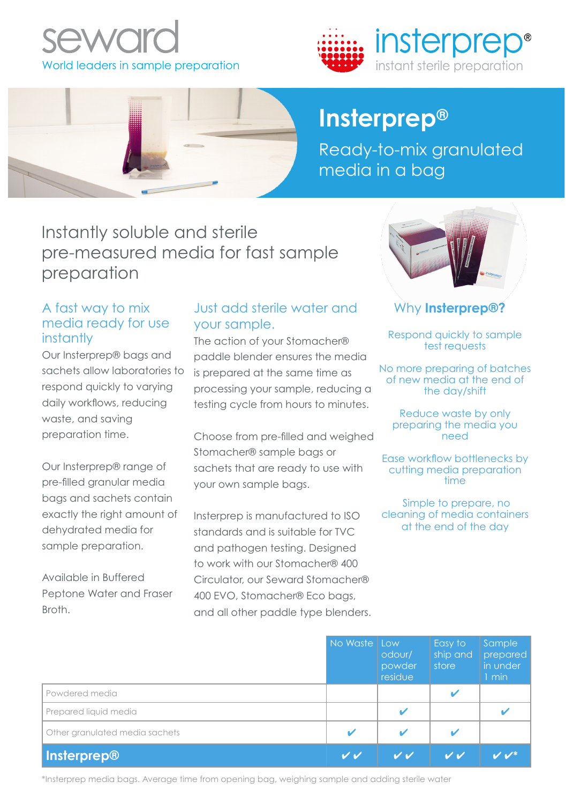



# **Insterprep®**

Ready-to-mix granulated media in a bag

Instantly soluble and sterile pre-measured media for fast sample preparation

## A fast way to mix media ready for use instantly

Our Insterprep® bags and sachets allow laboratories to respond quickly to varying daily workflows, reducing waste, and saving preparation time.

Our Insterprep® range of pre-filled granular media bags and sachets contain exactly the right amount of dehydrated media for sample preparation.

Available in Buffered Peptone Water and Fraser Broth.

## Just add sterile water and your sample.

The action of your Stomacher® paddle blender ensures the media is prepared at the same time as processing your sample, reducing a testing cycle from hours to minutes.

Choose from pre-filled and weighed Stomacher® sample bags or sachets that are ready to use with your own sample bags.

Insterprep is manufactured to ISO standards and is suitable for TVC and pathogen testing. Designed to work with our Stomacher® 400 Circulator, our Seward Stomacher® 400 EVO, Stomacher® Eco bags, and all other paddle type blenders.



Why **Insterprep®?**

Respond quickly to sample test requests

No more preparing of batches of new media at the end of the day/shift

Reduce waste by only preparing the media you need

Ease workflow bottlenecks by cutting media preparation time

 Simple to prepare, no cleaning of media containers at the end of the day

|                                | No Waste Low | odour/<br>powder<br>residue | Easy to<br>ship and<br>store | Sample<br>prepared<br>in under<br>1 min |
|--------------------------------|--------------|-----------------------------|------------------------------|-----------------------------------------|
| Powdered media                 |              |                             | $\overline{\mathbf{v}}$      |                                         |
| Prepared liquid media          |              |                             |                              |                                         |
| Other granulated media sachets |              |                             |                              |                                         |
| Insterprep®                    |              | V V                         | V V                          |                                         |

\*Insterprep media bags. Average time from opening bag, weighing sample and adding sterile water